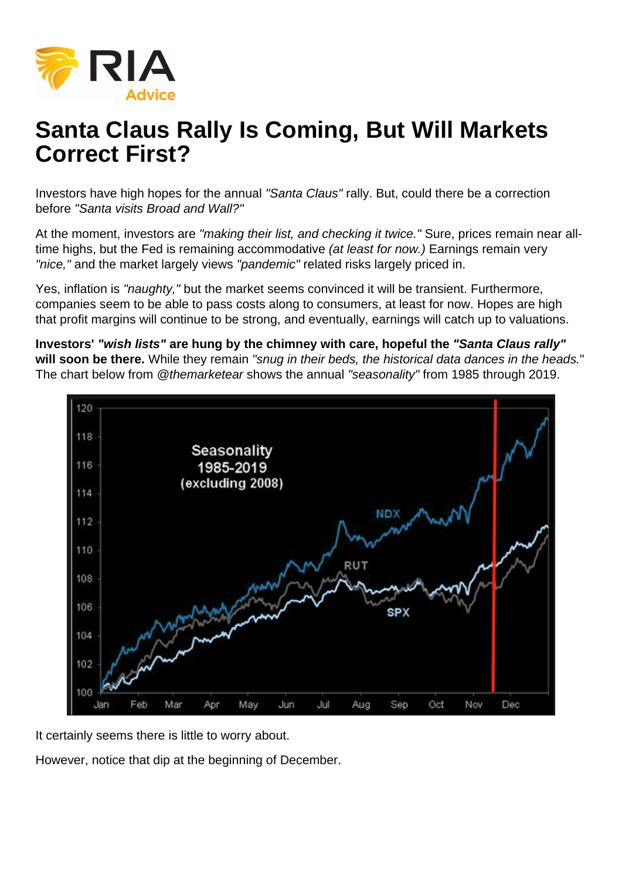## Santa Claus Rally Is Coming, But Will Markets Correct First?

Investors have high hopes for the annual "Santa Claus" rally. But, could there be a correction before "Santa visits Broad and Wall?"

At the moment, investors are "making their list, and checking it twice." Sure, prices remain near alltime highs, but the Fed is remaining accommodative (at least for now.) Earnings remain very "nice," and the market largely views "pandemic" related risks largely priced in.

Yes, inflation is "naughty," but the market seems convinced it will be transient. Furthermore, companies seem to be able to pass costs along to consumers, at least for now. Hopes are high that profit margins will continue to be strong, and eventually, earnings will catch up to valuations.

Investors' "wish lists" are hung by the chimney with care, hopeful the "Santa Claus rally" will soon be there. While they remain "snug in their beds, the historical data dances in the heads." The chart below from @themarketear shows the annual "seasonality" from 1985 through 2019.

It certainly seems there is little to worry about.

However, notice that dip at the beginning of December.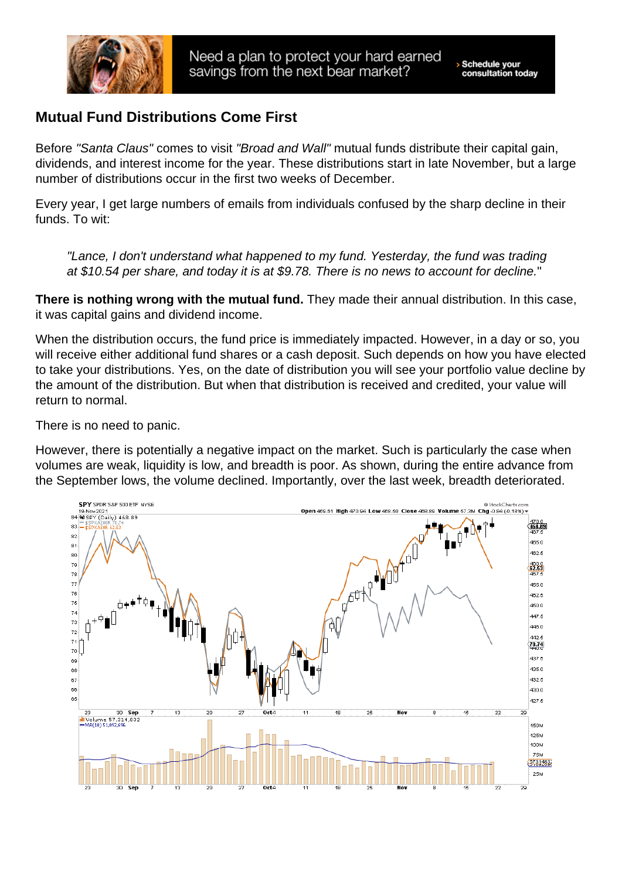## Mutual Fund Distributions Come First

Before "Santa Claus" comes to visit "Broad and Wall" mutual funds distribute their capital gain, dividends, and interest income for the year. These distributions start in late November, but a large number of distributions occur in the first two weeks of December.

Every year, I get large numbers of emails from individuals confused by the sharp decline in their funds. To wit:

"Lance, I don't understand what happened to my fund. Yesterday, the fund was trading at \$10.54 per share, and today it is at \$9.78. There is no news to account for decline."

There is nothing wrong with the mutual fund. They made their annual distribution. In this case, it was capital gains and dividend income.

When the distribution occurs, the fund price is immediately impacted. However, in a day or so, you will receive either additional fund shares or a cash deposit. Such depends on how you have elected to take your distributions. Yes, on the date of distribution you will see your portfolio value decline by the amount of the distribution. But when that distribution is received and credited, your value will return to normal.

There is no need to panic.

However, there is potentially a negative impact on the market. Such is particularly the case when volumes are weak, liquidity is low, and breadth is poor. As shown, during the entire advance from the September lows, the volume declined. Importantly, over the last week, breadth deteriorated.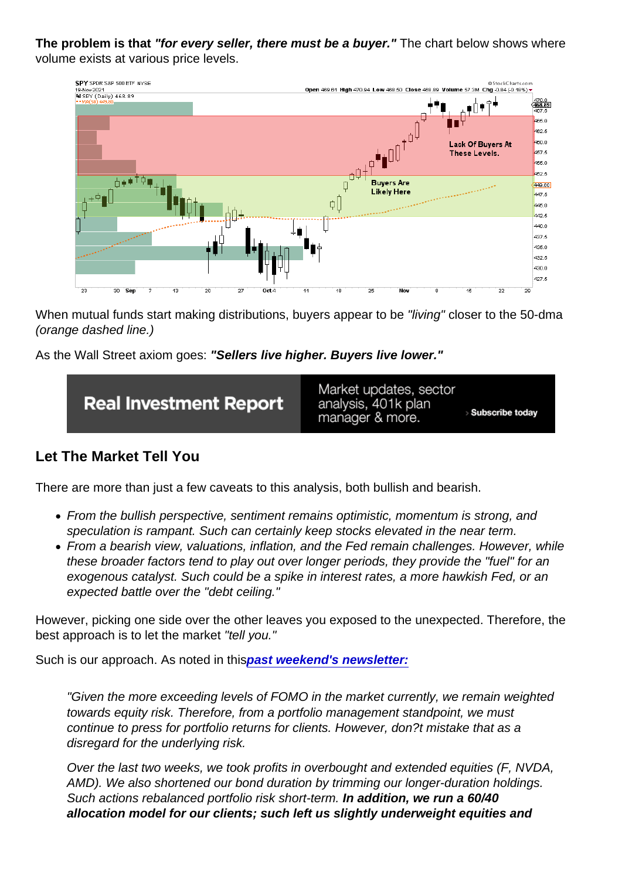The problem is that "for every seller, there must be a buyer." The chart below shows where volume exists at various price levels.

When mutual funds start making distributions, buyers appear to be "living" closer to the 50-dma (orange dashed line.)

As the Wall Street axiom goes: "Sellers live higher. Buyers live lower."

## Let The Market Tell You

There are more than just a few caveats to this analysis, both bullish and bearish.

- From the bullish perspective, sentiment remains optimistic, momentum is strong, and speculation is rampant. Such can certainly keep stocks elevated in the near term.
- From a bearish view, valuations, inflation, and the Fed remain challenges. However, while these broader factors tend to play out over longer periods, they provide the "fuel" for an exogenous catalyst. Such could be a spike in interest rates, a more hawkish Fed, or an expected battle over the "debt ceiling."

However, picking one side over the other leaves you exposed to the unexpected. Therefore, the best approach is to let the market "tell you."

Such is our approach. As noted in thi[spast weekend's newsletter:](https://realinvestmentadvice.com/the-fomo-rises-as-investors-push-risk-bets-11-19-21/)

"Given the more exceeding levels of FOMO in the market currently, we remain weighted towards equity risk. Therefore, from a portfolio management standpoint, we must continue to press for portfolio returns for clients. However, don?t mistake that as a disregard for the underlying risk.

Over the last two weeks, we took profits in overbought and extended equities (F, NVDA, AMD). We also shortened our bond duration by trimming our longer-duration holdings. Such actions rebalanced portfolio risk short-term. In addition, we run a 60/40 allocation model for our clients; such left us slightly underweight equities and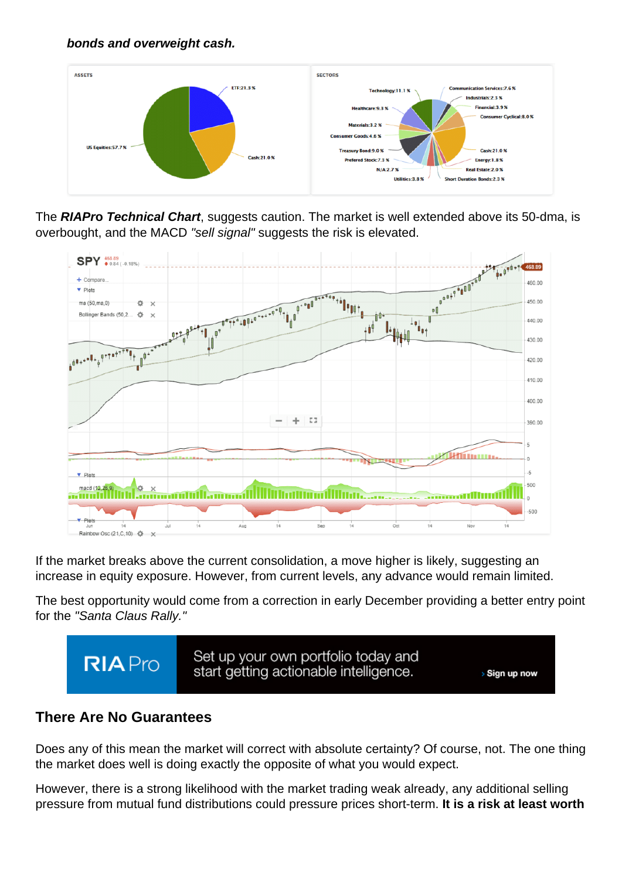bonds and overweight cash.

The RIAPro Technical Chart , suggests caution. The market is well extended above its 50-dma, is overbought, and the MACD "sell signal" suggests the risk is elevated.

If the market breaks above the current consolidation, a move higher is likely, suggesting an increase in equity exposure. However, from current levels, any advance would remain limited.

The best opportunity would come from a correction in early December providing a better entry point for the "Santa Claus Rally."

There Are No Guarantees

Does any of this mean the market will correct with absolute certainty? Of course, not. The one thing the market does well is doing exactly the opposite of what you would expect.

However, there is a strong likelihood with the market trading weak already, any additional selling pressure from mutual fund distributions could pressure prices short-term. It is a risk at least worth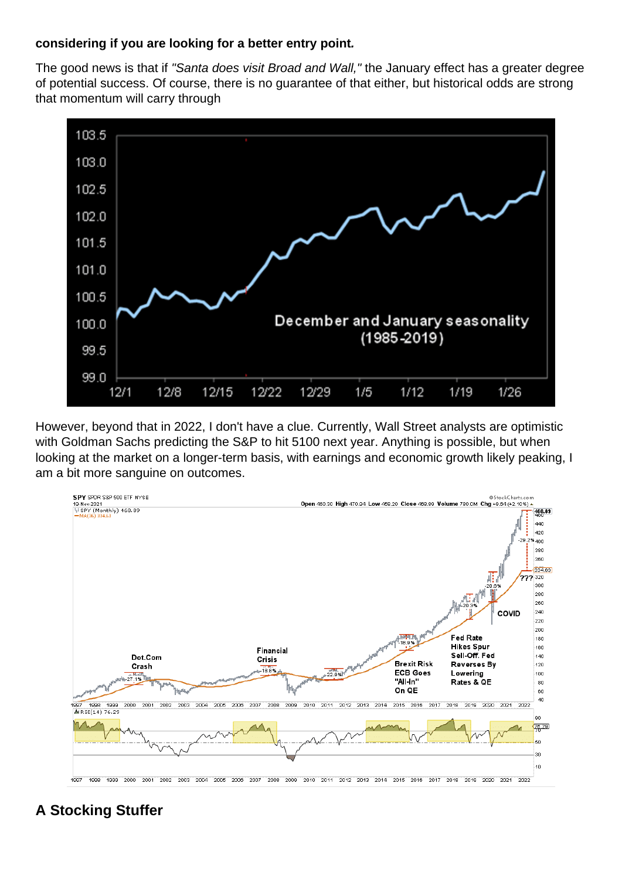considering if you are looking for a better entry point .

The good news is that if "Santa does visit Broad and Wall," the January effect has a greater degree of potential success. Of course, there is no guarantee of that either, but historical odds are strong that momentum will carry through

However, beyond that in 2022, I don't have a clue. Currently, Wall Street analysts are optimistic with Goldman Sachs predicting the S&P to hit 5100 next year. Anything is possible, but when looking at the market on a longer-term basis, with earnings and economic growth likely peaking, I am a bit more sanguine on outcomes.